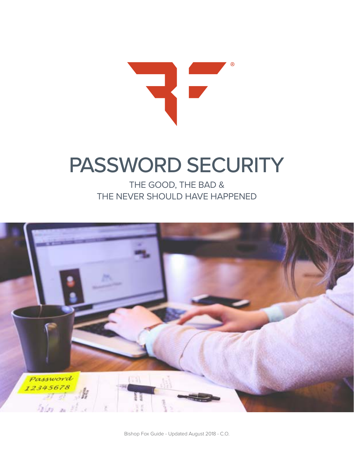

## PASSWORD SECURITY

THE GOOD, THE BAD & THE NEVER SHOULD HAVE HAPPENED

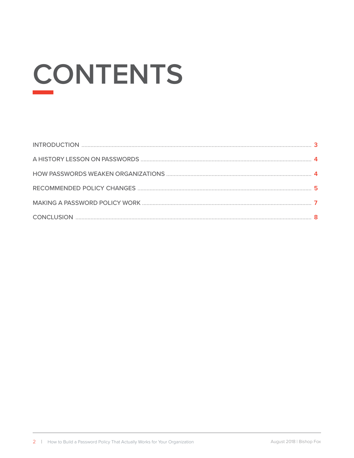# **CONTENTS**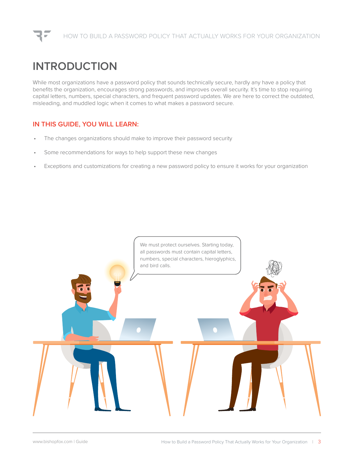## **INTRODUCTION**

While most organizations have a password policy that sounds technically secure, hardly any have a policy that benefits the organization, encourages strong passwords, and improves overall security. It's time to stop requiring capital letters, numbers, special characters, and frequent password updates. We are here to correct the outdated, misleading, and muddled logic when it comes to what makes a password secure.

#### **IN THIS GUIDE, YOU WILL LEARN:**

- The changes organizations should make to improve their password security
- Some recommendations for ways to help support these new changes
- Exceptions and customizations for creating a new password policy to ensure it works for your organization

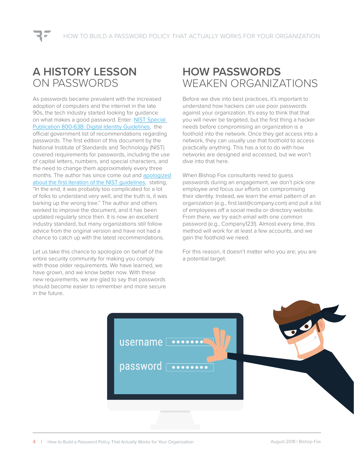## **A HISTORY LESSON** ON PASSWORDS

As passwords became prevalent with the increased adoption of computers and the internet in the late 90s, the tech industry started looking for guidance on what makes a good password. Enter: [NIST Special](https://pages.nist.gov/800-63-3/sp800-63b.html)  [Publication 800-63B: Digital Identity Guidelines](https://pages.nist.gov/800-63-3/sp800-63b.html), the official government list of recommendations regarding passwords. The first edition of this document by the National Institute of Standards and Technology (NIST) covered requirements for passwords, including the use of capital letters, numbers, and special characters, and the need to change them approximately every three months. The author has since come out and [apologized](https://www.wsj.com/articles/the-man-who-wrote-those-password-rules-has-a-new-tip-n3v-r-m1-d-1502124118) [about the first iteration of the NIST guidelines](https://www.wsj.com/articles/the-man-who-wrote-those-password-rules-has-a-new-tip-n3v-r-m1-d-1502124118), stating, "In the end, it was probably too complicated for a lot of folks to understand very well, and the truth is, it was barking up the wrong tree." The author and others worked to improve the document, and it has been updated regularly since then. It is now an excellent industry standard, but many organizations still follow advice from the original version and have not had a chance to catch up with the latest recommendations.

Let us take this chance to apologize on behalf of the entire security community for making you comply with those older requirements. We have learned, we have grown, and we know better now. With these new requirements, we are glad to say that passwords should become easier to remember and more secure in the future.

## **HOW PASSWORDS** WEAKEN ORGANIZATIONS

Before we dive into best practices, it's important to understand how hackers can use poor passwords against your organization. It's easy to think that that you will never be targeted, but the first thing a hacker needs before compromising an organization is a foothold into the network. Once they get access into a network, they can usually use that foothold to access practically anything. This has a lot to do with how networks are designed and accessed, but we won't dive into that here.

When Bishop Fox consultants need to guess passwords during an engagement, we don't pick one employee and focus our efforts on compromising their identity. Instead, we learn the email pattern of an organization (e.g., first.last@company.com) and pull a list of employees off a social media or directory website. From there, we try each email with one common password (e.g., Company123!). Almost every time, this method will work for at least a few accounts, and we gain the foothold we need.

For this reason, it doesn't matter who you are; you are a potential target.

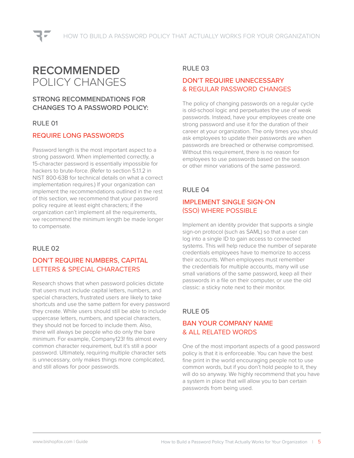## **RECOMMENDED** POLICY CHANGES

#### **STRONG RECOMMENDATIONS FOR CHANGES TO A PASSWORD POLICY:**

#### RULE 01

#### REQUIRE LONG PASSWORDS

Password length is the most important aspect to a strong password. When implemented correctly, a 15-character password is essentially impossible for hackers to brute-force. (Refer to section 5.1.1.2 in NIST 800-63B for technical details on what a correct implementation requires.) If your organization can implement the recommendations outlined in the rest of this section, we recommend that your password policy require at least eight characters; if the organization can't implement all the requirements, we recommend the minimum length be made longer to compensate.

#### RULE 02

#### DON'T REQUIRE NUMBERS, CAPITAL LETTERS & SPECIAL CHARACTERS

Research shows that when password policies dictate that users must include capital letters, numbers, and special characters, frustrated users are likely to take shortcuts and use the same pattern for every password they create. While users should still be able to include uppercase letters, numbers, and special characters, they should not be forced to include them. Also, there will always be people who do only the bare minimum. For example, Company123! fits almost every common character requirement, but it's still a poor password. Ultimately, requiring multiple character sets is unnecessary, only makes things more complicated, and still allows for poor passwords.

#### RULE 03

#### DON'T REQUIRE UNNECESSARY & REGULAR PASSWORD CHANGES

The policy of changing passwords on a regular cycle is old-school logic and perpetuates the use of weak passwords. Instead, have your employees create one strong password and use it for the duration of their career at your organization. The only times you should ask employees to update their passwords are when passwords are breached or otherwise compromised. Without this requirement, there is no reason for employees to use passwords based on the season or other minor variations of the same password.

#### RULE 04

#### IMPI FMENT SINGLE SIGN-ON (SSO) WHERE POSSIBLE

Implement an identity provider that supports a single sign-on protocol (such as SAML) so that a user can log into a single ID to gain access to connected systems. This will help reduce the number of separate credentials employees have to memorize to access their accounts. When employees must remember the credentials for multiple accounts, many will use small variations of the same password, keep all their passwords in a file on their computer, or use the old classic: a sticky note next to their monitor.

#### RULE 05

#### BAN YOUR COMPANY NAME & ALL RELATED WORDS

One of the most important aspects of a good password policy is that it is enforceable. You can have the best fine print in the world encouraging people not to use common words, but if you don't hold people to it, they will do so anyway. We highly recommend that you have a system in place that will allow you to ban certain passwords from being used.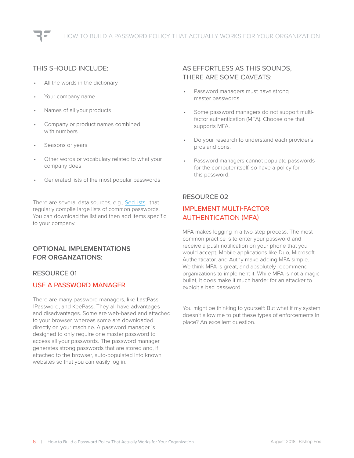#### THIS SHOULD INCLUDE:

- All the words in the dictionary
- Your company name
- Names of all your products
- Company or product names combined with numbers
- Seasons or years
- Other words or vocabulary related to what your company does
- Generated lists of the most popular passwords

There are several data sources, e.g., [SecLists,](https://github.com/danielmiessler/SecLists) that regularly compile large lists of common passwords. You can download the list and then add items specific to your company.

#### **OPTIONAL IMPLEMENTATIONS FOR ORGANZATIONS:**

#### RESOURCE 01

#### USE A PASSWORD MANAGER

There are many password managers, like LastPass, 1Password, and KeePass. They all have advantages and disadvantages. Some are web-based and attached to your browser, whereas some are downloaded directly on your machine. A password manager is designed to only require one master password to access all your passwords. The password manager generates strong passwords that are stored and, if attached to the browser, auto-populated into known websites so that you can easily log in.

#### AS EFFORTLESS AS THIS SOUNDS, THERE ARE SOME CAVEATS:

- Password managers must have strong master passwords
- Some password managers do not support multifactor authentication (MFA). Choose one that supports MFA.
- Do your research to understand each provider's pros and cons.
- Password managers cannot populate passwords for the computer itself, so have a policy for this password.

#### RESOURCE 02

#### IMPLEMENT MULTI-FACTOR AUTHENTICATION (MFA)

MFA makes logging in a two-step process. The most common practice is to enter your password and receive a push notification on your phone that you would accept. Mobile applications like Duo, Microsoft Authenticator, and Authy make adding MFA simple. We think MFA is great, and absolutely recommend organizations to implement it. While MFA is not a magic bullet, it does make it much harder for an attacker to exploit a bad password.

You might be thinking to yourself: But what if my system doesn't allow me to put these types of enforcements in place? An excellent question.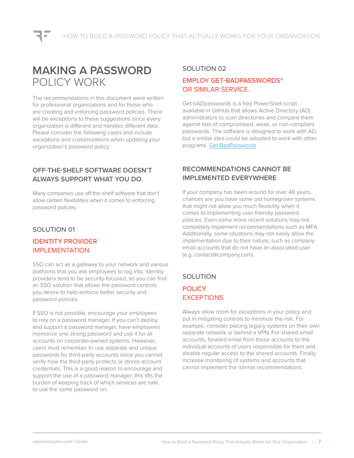### **MAKING A PASSWORD** POLICY WORK

The recommendations in this document were written for professional organizations and for those who are creating and enforcing password policies. There will be exceptions to these suggestions since every organization is different and handles different data. Please consider the following cases and include exceptions and customizations when updating your organization's password policy:

#### **OFF-THE-SHELF SOFTWARE DOESN'T ALWAYS SUPPORT WHAT YOU DO.**

Many companies use off-the-shelf software that don't allow certain flexibilities when it comes to enforcing password policies.

#### SOLUTION 01

#### IDENTITY PROVIDER IMPLEMENTATION

SSO can act as a gateway to your network and various platforms that you ask employees to log into. Identity providers tend to be security-focused, so you can find an SSO solution that allows the password controls you desire to help enforce better security and password policies.

If SSO is not possible, encourage your employees to rely on a password manager. If you can't deploy and support a password manager, have employees memorize one strong password and use it for all accounts on corporate-owned systems. However, users must remember to use separate and unique passwords for third-party accounts since you cannot verify how the third-party protects or stores account credentials. This is a good reason to encourage and support the use of a password manager; this lifts the burden of keeping track of which services are safe to use the same password on.

#### SOLUTION 02

#### EMPLOY GET-BADPASSWORDS4 OR SIMILAR SERVICE.

Get-bADpasswords is a free PowerShell script available in GitHub that allows Active Directory (AD) administrators to scan directories and compare them against lists of compromised, weak, or non-compliant passwords. The software is designed to work with AD, but a similar idea could be adopted to work with other programs. [Get-BadPasswords](http://flemmingriis.com/get-badpasswords/)

#### **RECOMMENDATIONS CANNOT BE IMPLEMENTED EVERYWHERE**

If your company has been around for over 40 years, chances are you have some old homegrown systems that might not allow you much flexibility when it comes to implementing user-friendly password policies. Even some more recent solutions may not completely implement recommendations such as MFA. Additionally, some situations may not easily allow the implementation due to their nature, such as company email accounts that do not have an associated user (e.g. contact@company.com).

#### SOLUTION

#### **POLICY EXCEPTIONS**

Always allow room for exceptions in your policy and put in mitigating controls to minimize the risk. For example, consider placing legacy systems on their own separate network or behind a VPN. For shared email accounts, forward email from those accounts to the individual accounts of users responsible for them and disable regular access to the shared accounts. Finally, increase monitoring of systems and accounts that cannot implement the normal recommendations.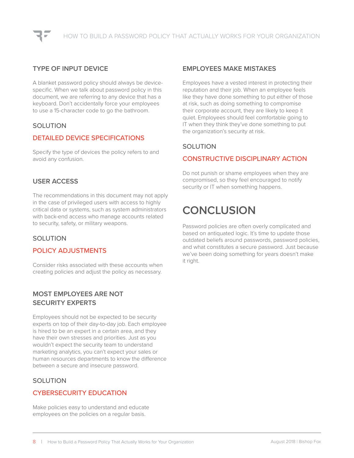#### **TYPE OF INPUT DEVICE**

A blanket password policy should always be devicespecific. When we talk about password policy in this document, we are referring to any device that has a keyboard. Don't accidentally force your employees to use a 15-character code to go the bathroom.

#### SOLUTION

#### DETAILED DEVICE SPECIFICATIONS

Specify the type of devices the policy refers to and avoid any confusion.

#### **USER ACCESS**

The recommendations in this document may not apply in the case of privileged users with access to highly critical data or systems, such as system administrators with back-end access who manage accounts related to security, safety, or military weapons.

#### SOLUTION

#### POLICY ADJUSTMENTS

Consider risks associated with these accounts when creating policies and adjust the policy as necessary.

#### **MOST EMPLOYEES ARE NOT SECURITY EXPERTS**

Employees should not be expected to be security experts on top of their day-to-day job. Each employee is hired to be an expert in a certain area, and they have their own stresses and priorities. Just as you wouldn't expect the security team to understand marketing analytics, you can't expect your sales or human resources departments to know the difference between a secure and insecure password.

#### SOLUTION

#### CYBERSECURITY EDUCATION

Make policies easy to understand and educate employees on the policies on a regular basis.

#### **EMPLOYEES MAKE MISTAKES**

Employees have a vested interest in protecting their reputation and their job. When an employee feels like they have done something to put either of those at risk, such as doing something to compromise their corporate account, they are likely to keep it quiet. Employees should feel comfortable going to IT when they think they've done something to put the organization's security at risk.

#### **SOLUTION**

#### CONSTRUCTIVE DISCIPLINARY ACTION

Do not punish or shame employees when they are compromised, so they feel encouraged to notify security or IT when something happens.

## **CONCLUSION**

Password policies are often overly complicated and based on antiquated logic. It's time to update those outdated beliefs around passwords, password policies, and what constitutes a secure password. Just because we've been doing something for years doesn't make it right.